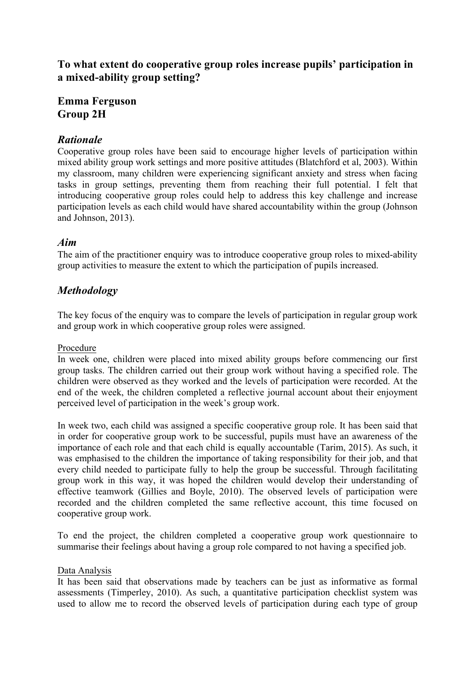**To what extent do cooperative group roles increase pupils' participation in a mixed-ability group setting?**

# **Emma Ferguson Group 2H**

## *Rationale*

Cooperative group roles have been said to encourage higher levels of participation within mixed ability group work settings and more positive attitudes (Blatchford et al, 2003). Within my classroom, many children were experiencing significant anxiety and stress when facing tasks in group settings, preventing them from reaching their full potential. I felt that introducing cooperative group roles could help to address this key challenge and increase participation levels as each child would have shared accountability within the group (Johnson and Johnson, 2013).

### *Aim*

The aim of the practitioner enquiry was to introduce cooperative group roles to mixed-ability group activities to measure the extent to which the participation of pupils increased.

### *Methodology*

The key focus of the enquiry was to compare the levels of participation in regular group work and group work in which cooperative group roles were assigned.

#### Procedure

In week one, children were placed into mixed ability groups before commencing our first group tasks. The children carried out their group work without having a specified role. The children were observed as they worked and the levels of participation were recorded. At the end of the week, the children completed a reflective journal account about their enjoyment perceived level of participation in the week's group work.

In week two, each child was assigned a specific cooperative group role. It has been said that in order for cooperative group work to be successful, pupils must have an awareness of the importance of each role and that each child is equally accountable (Tarim, 2015). As such, it was emphasised to the children the importance of taking responsibility for their job, and that every child needed to participate fully to help the group be successful. Through facilitating group work in this way, it was hoped the children would develop their understanding of effective teamwork (Gillies and Boyle, 2010). The observed levels of participation were recorded and the children completed the same reflective account, this time focused on cooperative group work.

To end the project, the children completed a cooperative group work questionnaire to summarise their feelings about having a group role compared to not having a specified job.

#### Data Analysis

It has been said that observations made by teachers can be just as informative as formal assessments (Timperley, 2010). As such, a quantitative participation checklist system was used to allow me to record the observed levels of participation during each type of group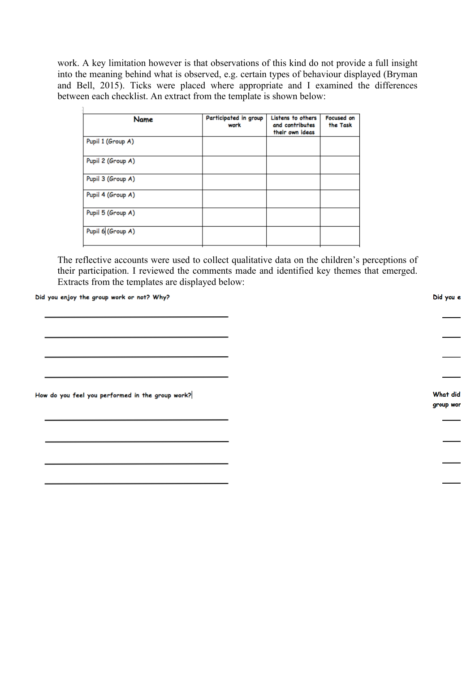work. A key limitation however is that observations of this kind do not provide a full insight into the meaning behind what is observed, e.g. certain types of behaviour displayed (Bryman and Bell, 2015). Ticks were placed where appropriate and I examined the differences between each checklist. An extract from the template is shown below:

| Name              | Participated in group<br>work | Listens to others<br>and contributes<br>their own ideas | Focused on<br>the Task |
|-------------------|-------------------------------|---------------------------------------------------------|------------------------|
| Pupil 1 (Group A) |                               |                                                         |                        |
| Pupil 2 (Group A) |                               |                                                         |                        |
| Pupil 3 (Group A) |                               |                                                         |                        |
| Pupil 4 (Group A) |                               |                                                         |                        |
| Pupil 5 (Group A) |                               |                                                         |                        |
| Pupil 6 (Group A) |                               |                                                         |                        |

The reflective accounts were used to collect qualitative data on the children's perceptions of their participation. I reviewed the comments made and identified key themes that emerged. Extracts from the templates are displayed below:

Did you enjoy the group work or not? Why?

 $\overline{1}$ 

How do you feel you performed in the group work?

Did you e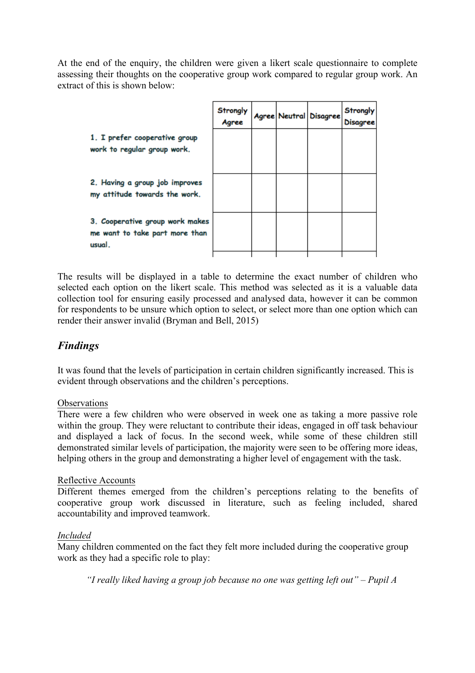At the end of the enquiry, the children were given a likert scale questionnaire to complete assessing their thoughts on the cooperative group work compared to regular group work. An extract of this is shown below:

|                                                                             | Strongly<br>Agree |  | Agree Neutral Disagree | Strongly<br>Disagree |
|-----------------------------------------------------------------------------|-------------------|--|------------------------|----------------------|
| 1. I prefer cooperative group<br>work to regular group work.                |                   |  |                        |                      |
| 2. Having a group job improves<br>my attitude towards the work.             |                   |  |                        |                      |
| 3. Cooperative group work makes<br>me want to take part more than<br>usual. |                   |  |                        |                      |

The results will be displayed in a table to determine the exact number of children who selected each option on the likert scale. This method was selected as it is a valuable data collection tool for ensuring easily processed and analysed data, however it can be common for respondents to be unsure which option to select, or select more than one option which can render their answer invalid (Bryman and Bell, 2015)

# *Findings*

It was found that the levels of participation in certain children significantly increased. This is evident through observations and the children's perceptions.

### **Observations**

There were a few children who were observed in week one as taking a more passive role within the group. They were reluctant to contribute their ideas, engaged in off task behaviour and displayed a lack of focus. In the second week, while some of these children still demonstrated similar levels of participation, the majority were seen to be offering more ideas, helping others in the group and demonstrating a higher level of engagement with the task.

#### Reflective Accounts

Different themes emerged from the children's perceptions relating to the benefits of cooperative group work discussed in literature, such as feeling included, shared accountability and improved teamwork.

#### *Included*

Many children commented on the fact they felt more included during the cooperative group work as they had a specific role to play:

*"I really liked having a group job because no one was getting left out" – Pupil A*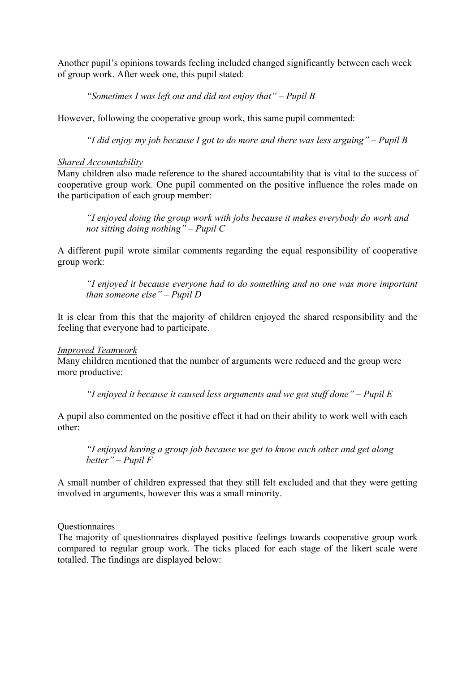Another pupil's opinions towards feeling included changed significantly between each week of group work. After week one, this pupil stated:

*"Sometimes I was left out and did not enjoy that" – Pupil B*

However, following the cooperative group work, this same pupil commented:

*"I did enjoy my job because I got to do more and there was less arguing" – Pupil B*

#### *Shared Accountability*

Many children also made reference to the shared accountability that is vital to the success of cooperative group work. One pupil commented on the positive influence the roles made on the participation of each group member:

*"I enjoyed doing the group work with jobs because it makes everybody do work and not sitting doing nothing" – Pupil C*

A different pupil wrote similar comments regarding the equal responsibility of cooperative group work:

*"I enjoyed it because everyone had to do something and no one was more important than someone else" – Pupil D*

It is clear from this that the majority of children enjoyed the shared responsibility and the feeling that everyone had to participate.

#### *Improved Teamwork*

Many children mentioned that the number of arguments were reduced and the group were more productive:

*"I enjoyed it because it caused less arguments and we got stuff done" – Pupil E*

A pupil also commented on the positive effect it had on their ability to work well with each other:

*"I enjoyed having a group job because we get to know each other and get along better" – Pupil F*

A small number of children expressed that they still felt excluded and that they were getting involved in arguments, however this was a small minority.

#### **Ouestionnaires**

The majority of questionnaires displayed positive feelings towards cooperative group work compared to regular group work. The ticks placed for each stage of the likert scale were totalled. The findings are displayed below: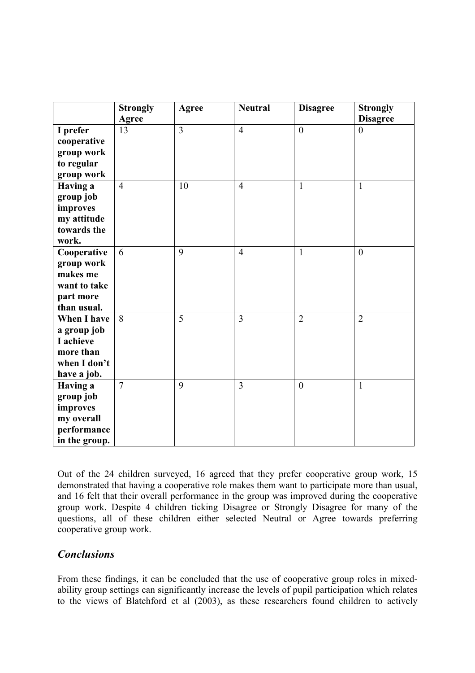|                    | <b>Strongly</b> | Agree          | <b>Neutral</b> | <b>Disagree</b>  | <b>Strongly</b> |
|--------------------|-----------------|----------------|----------------|------------------|-----------------|
|                    | <b>Agree</b>    |                |                |                  | <b>Disagree</b> |
| I prefer           | 13              | $\overline{3}$ | $\overline{4}$ | $\mathbf{0}$     | $\theta$        |
| cooperative        |                 |                |                |                  |                 |
| group work         |                 |                |                |                  |                 |
| to regular         |                 |                |                |                  |                 |
| group work         |                 |                |                |                  |                 |
| <b>Having a</b>    | $\overline{4}$  | 10             | $\overline{4}$ | $\mathbf{1}$     | $\mathbf{1}$    |
| group job          |                 |                |                |                  |                 |
| improves           |                 |                |                |                  |                 |
| my attitude        |                 |                |                |                  |                 |
| towards the        |                 |                |                |                  |                 |
| work.              |                 |                |                |                  |                 |
| Cooperative        | 6               | 9              | $\overline{4}$ | $\mathbf{1}$     | $\mathbf{0}$    |
| group work         |                 |                |                |                  |                 |
| makes me           |                 |                |                |                  |                 |
| want to take       |                 |                |                |                  |                 |
| part more          |                 |                |                |                  |                 |
| than usual.        |                 |                |                |                  |                 |
| <b>When I have</b> | 8               | 5              | $\overline{3}$ | $\overline{2}$   | $\overline{2}$  |
| a group job        |                 |                |                |                  |                 |
| I achieve          |                 |                |                |                  |                 |
| more than          |                 |                |                |                  |                 |
| when I don't       |                 |                |                |                  |                 |
| have a job.        |                 |                |                |                  |                 |
| <b>Having a</b>    | $\overline{7}$  | 9              | $\overline{3}$ | $\boldsymbol{0}$ | $\mathbf{1}$    |
| group job          |                 |                |                |                  |                 |
| improves           |                 |                |                |                  |                 |
| my overall         |                 |                |                |                  |                 |
| performance        |                 |                |                |                  |                 |
| in the group.      |                 |                |                |                  |                 |

Out of the 24 children surveyed, 16 agreed that they prefer cooperative group work, 15 demonstrated that having a cooperative role makes them want to participate more than usual, and 16 felt that their overall performance in the group was improved during the cooperative group work. Despite 4 children ticking Disagree or Strongly Disagree for many of the questions, all of these children either selected Neutral or Agree towards preferring cooperative group work.

## *Conclusions*

From these findings, it can be concluded that the use of cooperative group roles in mixedability group settings can significantly increase the levels of pupil participation which relates to the views of Blatchford et al (2003), as these researchers found children to actively